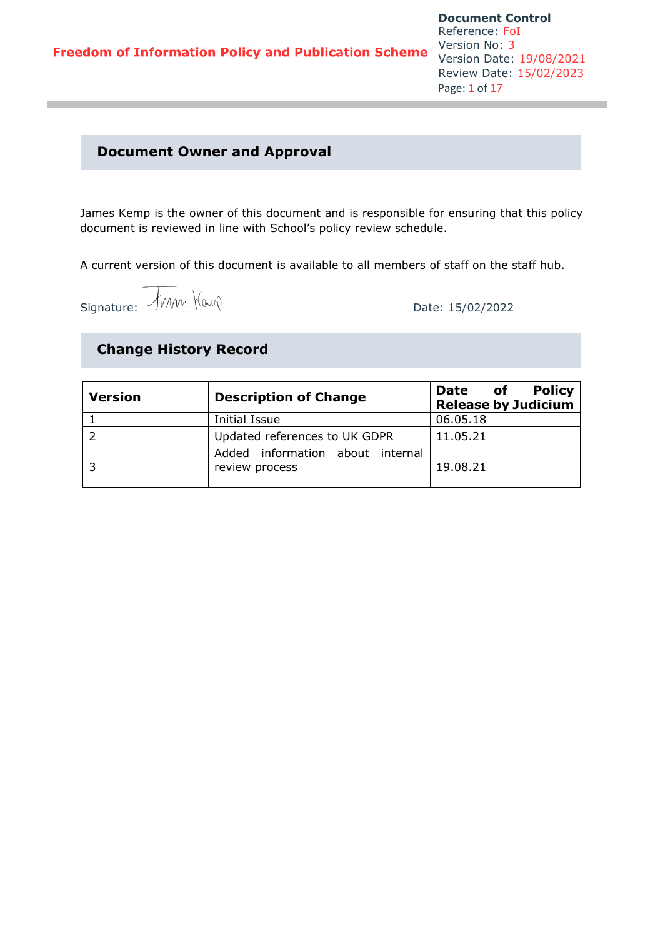### **Document Owner and Approval**

James Kemp is the owner of this document and is responsible for ensuring that this policy document is reviewed in line with School's policy review schedule.

A current version of this document is available to all members of staff on the staff hub.

Signature:  $\frac{15}{02}{2022}$ 

# **Change History Record**

| <b>Version</b> | <b>Description of Change</b>                       | <b>Policy</b><br>of<br><b>Date</b><br><b>Release by Judicium</b> |
|----------------|----------------------------------------------------|------------------------------------------------------------------|
|                | Initial Issue                                      | 06.05.18                                                         |
|                | Updated references to UK GDPR                      | 11.05.21                                                         |
|                | Added information about internal<br>review process | 19.08.21                                                         |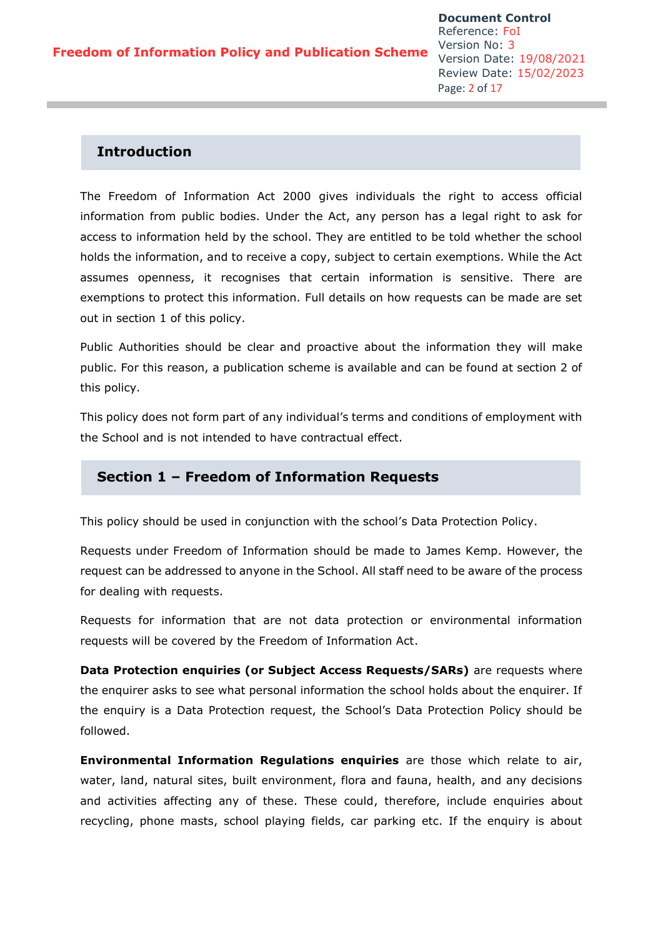### **Introduction**

The Freedom of Information Act 2000 gives individuals the right to access official information from public bodies. Under the Act, any person has a legal right to ask for access to information held by the school. They are entitled to be told whether the school holds the information, and to receive a copy, subject to certain exemptions. While the Act assumes openness, it recognises that certain information is sensitive. There are exemptions to protect this information. Full details on how requests can be made are set out in section 1 of this policy.

Public Authorities should be clear and proactive about the information they will make public. For this reason, a publication scheme is available and can be found at section 2 of this policy.

This policy does not form part of any individual's terms and conditions of employment with the School and is not intended to have contractual effect.

### **Section 1 – Freedom of Information Requests**

This policy should be used in conjunction with the school's Data Protection Policy.

Requests under Freedom of Information should be made to James Kemp. However, the request can be addressed to anyone in the School. All staff need to be aware of the process for dealing with requests.

Requests for information that are not data protection or environmental information requests will be covered by the Freedom of Information Act.

**Data Protection enquiries (or Subject Access Requests/SARs)** are requests where the enquirer asks to see what personal information the school holds about the enquirer. If the enquiry is a Data Protection request, the School's Data Protection Policy should be followed.

**Environmental Information Regulations enquiries** are those which relate to air, water, land, natural sites, built environment, flora and fauna, health, and any decisions and activities affecting any of these. These could, therefore, include enquiries about recycling, phone masts, school playing fields, car parking etc. If the enquiry is about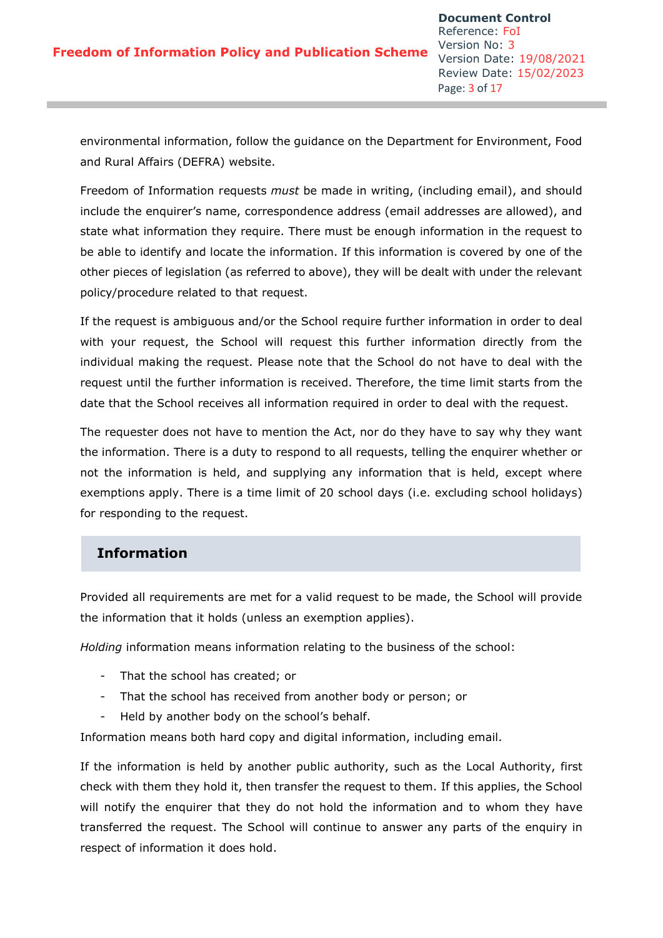environmental information, follow the guidance on the Department for Environment, Food and Rural Affairs (DEFRA) website.

Freedom of Information requests *must* be made in writing, (including email), and should include the enquirer's name, correspondence address (email addresses are allowed), and state what information they require. There must be enough information in the request to be able to identify and locate the information. If this information is covered by one of the other pieces of legislation (as referred to above), they will be dealt with under the relevant policy/procedure related to that request.

If the request is ambiguous and/or the School require further information in order to deal with your request, the School will request this further information directly from the individual making the request. Please note that the School do not have to deal with the request until the further information is received. Therefore, the time limit starts from the date that the School receives all information required in order to deal with the request.

The requester does not have to mention the Act, nor do they have to say why they want the information. There is a duty to respond to all requests, telling the enquirer whether or not the information is held, and supplying any information that is held, except where exemptions apply. There is a time limit of 20 school days (i.e. excluding school holidays) for responding to the request.

# **Information**

Provided all requirements are met for a valid request to be made, the School will provide the information that it holds (unless an exemption applies).

*Holding* information means information relating to the business of the school:

- That the school has created; or
- That the school has received from another body or person; or
- Held by another body on the school's behalf.

Information means both hard copy and digital information, including email.

If the information is held by another public authority, such as the Local Authority, first check with them they hold it, then transfer the request to them. If this applies, the School will notify the enquirer that they do not hold the information and to whom they have transferred the request. The School will continue to answer any parts of the enquiry in respect of information it does hold.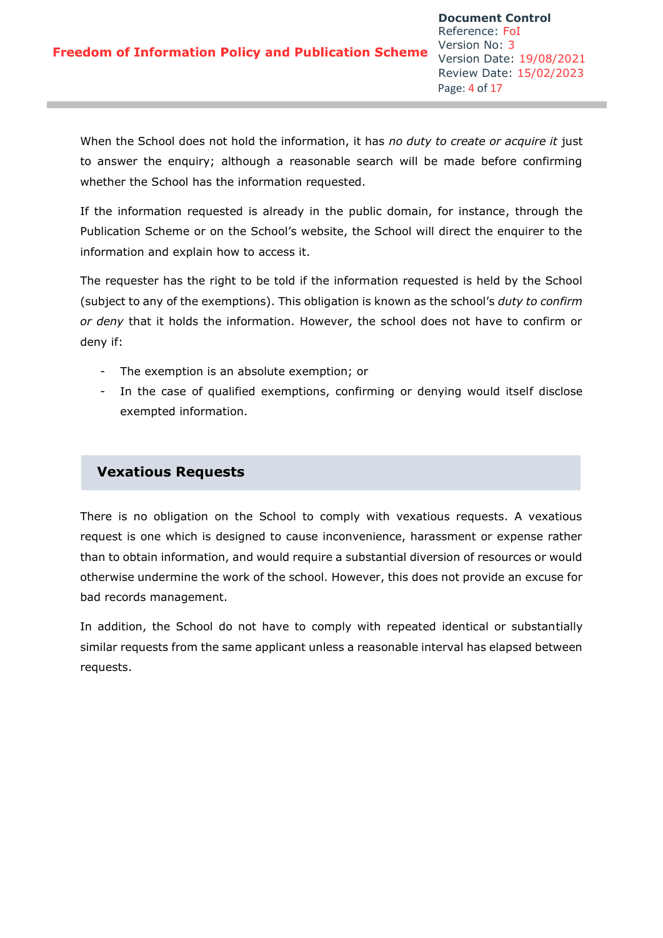When the School does not hold the information, it has *no duty to create or acquire it* just to answer the enquiry; although a reasonable search will be made before confirming whether the School has the information requested.

If the information requested is already in the public domain, for instance, through the Publication Scheme or on the School's website, the School will direct the enquirer to the information and explain how to access it.

The requester has the right to be told if the information requested is held by the School (subject to any of the exemptions). This obligation is known as the school's *duty to confirm or deny* that it holds the information. However, the school does not have to confirm or deny if:

- The exemption is an absolute exemption; or
- In the case of qualified exemptions, confirming or denying would itself disclose exempted information.

# **Vexatious Requests**

There is no obligation on the School to comply with vexatious requests. A vexatious request is one which is designed to cause inconvenience, harassment or expense rather than to obtain information, and would require a substantial diversion of resources or would otherwise undermine the work of the school. However, this does not provide an excuse for bad records management.

In addition, the School do not have to comply with repeated identical or substantially similar requests from the same applicant unless a reasonable interval has elapsed between requests.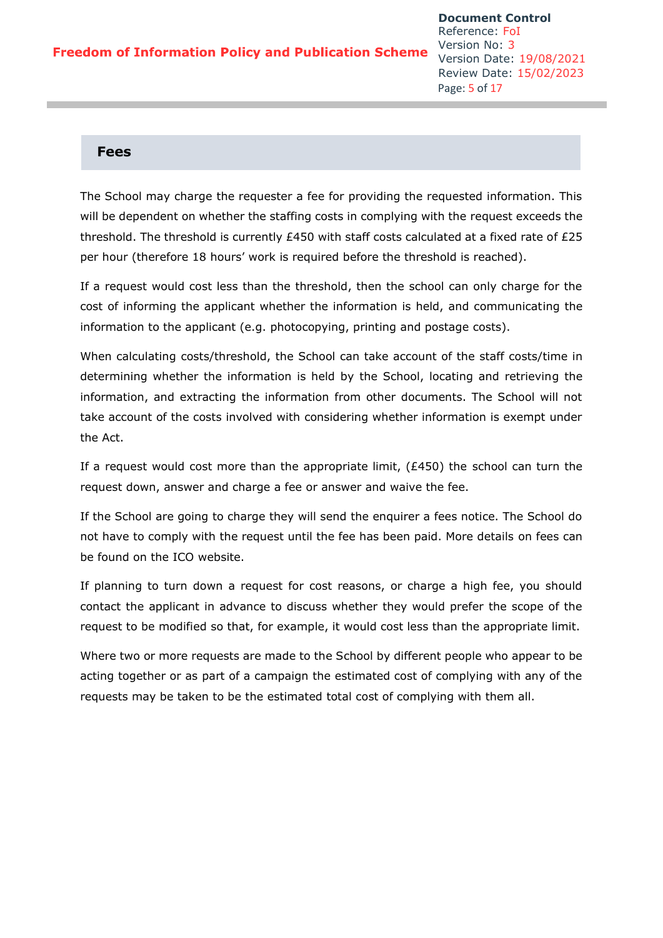#### **Fees**

The School may charge the requester a fee for providing the requested information. This will be dependent on whether the staffing costs in complying with the request exceeds the threshold. The threshold is currently £450 with staff costs calculated at a fixed rate of £25 per hour (therefore 18 hours' work is required before the threshold is reached).

If a request would cost less than the threshold, then the school can only charge for the cost of informing the applicant whether the information is held, and communicating the information to the applicant (e.g. photocopying, printing and postage costs).

When calculating costs/threshold, the School can take account of the staff costs/time in determining whether the information is held by the School, locating and retrieving the information, and extracting the information from other documents. The School will not take account of the costs involved with considering whether information is exempt under the Act.

If a request would cost more than the appropriate limit,  $(E450)$  the school can turn the request down, answer and charge a fee or answer and waive the fee.

If the School are going to charge they will send the enquirer a fees notice. The School do not have to comply with the request until the fee has been paid. More details on fees can be found on the ICO website.

If planning to turn down a request for cost reasons, or charge a high fee, you should contact the applicant in advance to discuss whether they would prefer the scope of the request to be modified so that, for example, it would cost less than the appropriate limit.

Where two or more requests are made to the School by different people who appear to be acting together or as part of a campaign the estimated cost of complying with any of the requests may be taken to be the estimated total cost of complying with them all.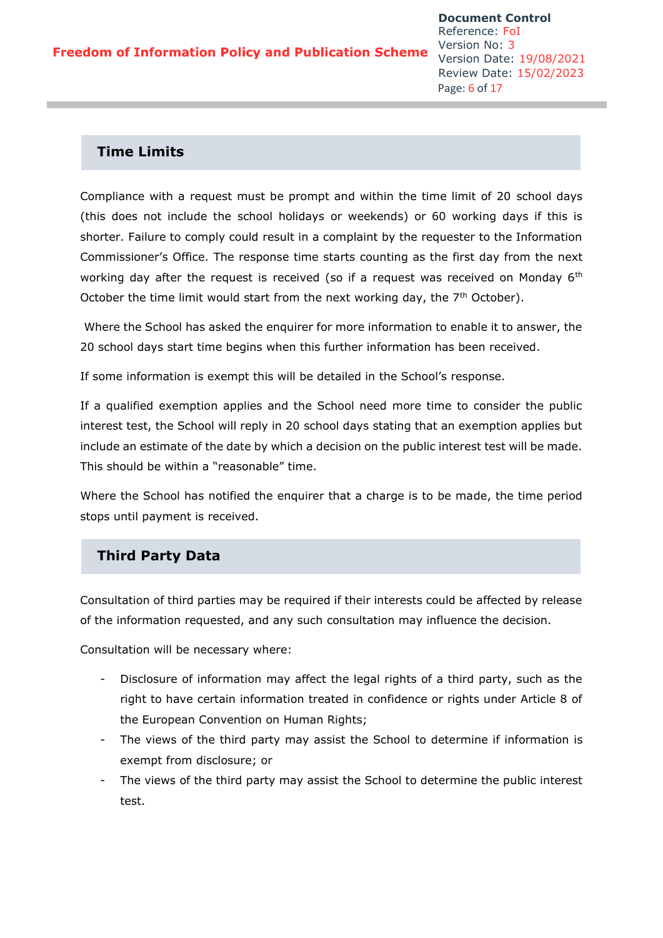### **Time Limits**

Compliance with a request must be prompt and within the time limit of 20 school days (this does not include the school holidays or weekends) or 60 working days if this is shorter. Failure to comply could result in a complaint by the requester to the Information Commissioner's Office. The response time starts counting as the first day from the next working day after the request is received (so if a request was received on Monday 6<sup>th</sup> October the time limit would start from the next working day, the  $7<sup>th</sup>$  October).

Where the School has asked the enquirer for more information to enable it to answer, the 20 school days start time begins when this further information has been received.

If some information is exempt this will be detailed in the School's response.

If a qualified exemption applies and the School need more time to consider the public interest test, the School will reply in 20 school days stating that an exemption applies but include an estimate of the date by which a decision on the public interest test will be made. This should be within a "reasonable" time.

Where the School has notified the enquirer that a charge is to be made, the time period stops until payment is received.

# **Third Party Data**

Consultation of third parties may be required if their interests could be affected by release of the information requested, and any such consultation may influence the decision.

Consultation will be necessary where:

- Disclosure of information may affect the legal rights of a third party, such as the right to have certain information treated in confidence or rights under Article 8 of the European Convention on Human Rights;
- The views of the third party may assist the School to determine if information is exempt from disclosure; or
- The views of the third party may assist the School to determine the public interest test.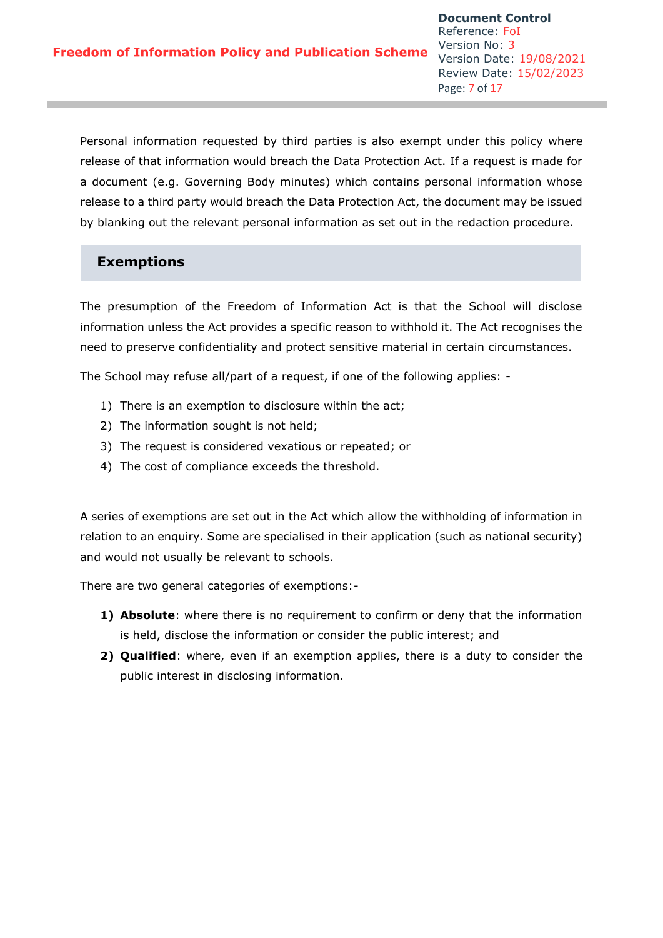Personal information requested by third parties is also exempt under this policy where release of that information would breach the Data Protection Act. If a request is made for a document (e.g. Governing Body minutes) which contains personal information whose release to a third party would breach the Data Protection Act, the document may be issued by blanking out the relevant personal information as set out in the redaction procedure.

# **Exemptions**

The presumption of the Freedom of Information Act is that the School will disclose information unless the Act provides a specific reason to withhold it. The Act recognises the need to preserve confidentiality and protect sensitive material in certain circumstances.

The School may refuse all/part of a request, if one of the following applies: -

- 1) There is an exemption to disclosure within the act;
- 2) The information sought is not held;
- 3) The request is considered vexatious or repeated; or
- 4) The cost of compliance exceeds the threshold.

A series of exemptions are set out in the Act which allow the withholding of information in relation to an enquiry. Some are specialised in their application (such as national security) and would not usually be relevant to schools.

There are two general categories of exemptions:-

- **1) Absolute**: where there is no requirement to confirm or deny that the information is held, disclose the information or consider the public interest; and
- **2) Qualified**: where, even if an exemption applies, there is a duty to consider the public interest in disclosing information.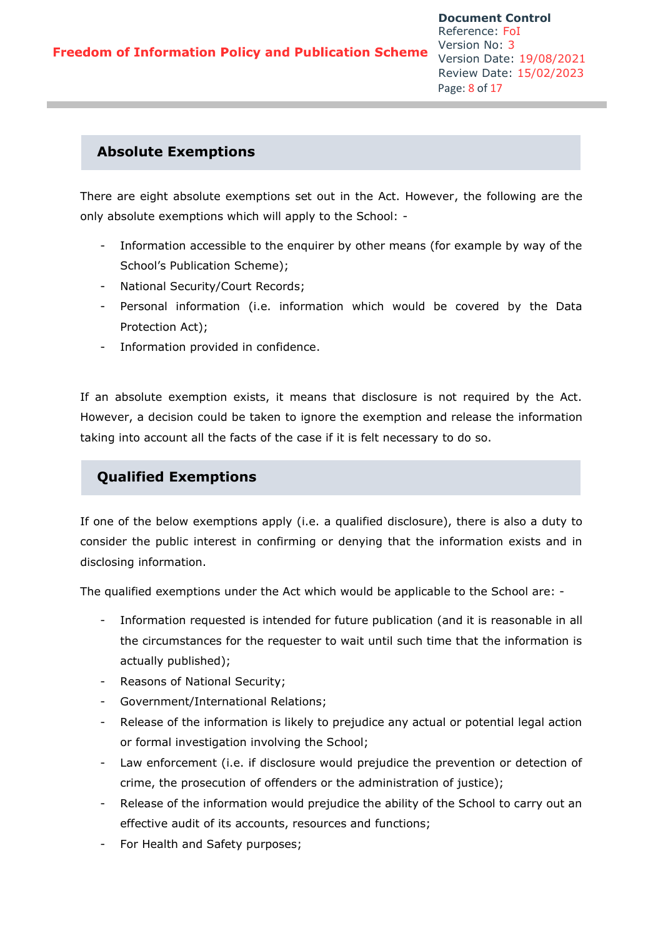### **Absolute Exemptions**

There are eight absolute exemptions set out in the Act. However, the following are the only absolute exemptions which will apply to the School: -

- Information accessible to the enquirer by other means (for example by way of the School's Publication Scheme);
- National Security/Court Records;
- Personal information (i.e. information which would be covered by the Data Protection Act);
- Information provided in confidence.

If an absolute exemption exists, it means that disclosure is not required by the Act. However, a decision could be taken to ignore the exemption and release the information taking into account all the facts of the case if it is felt necessary to do so.

# **Qualified Exemptions**

If one of the below exemptions apply (i.e. a qualified disclosure), there is also a duty to consider the public interest in confirming or denying that the information exists and in disclosing information.

The qualified exemptions under the Act which would be applicable to the School are: -

- Information requested is intended for future publication (and it is reasonable in all the circumstances for the requester to wait until such time that the information is actually published);
- Reasons of National Security;
- Government/International Relations;
- Release of the information is likely to prejudice any actual or potential legal action or formal investigation involving the School;
- Law enforcement (i.e. if disclosure would prejudice the prevention or detection of crime, the prosecution of offenders or the administration of justice);
- Release of the information would prejudice the ability of the School to carry out an effective audit of its accounts, resources and functions;
- For Health and Safety purposes;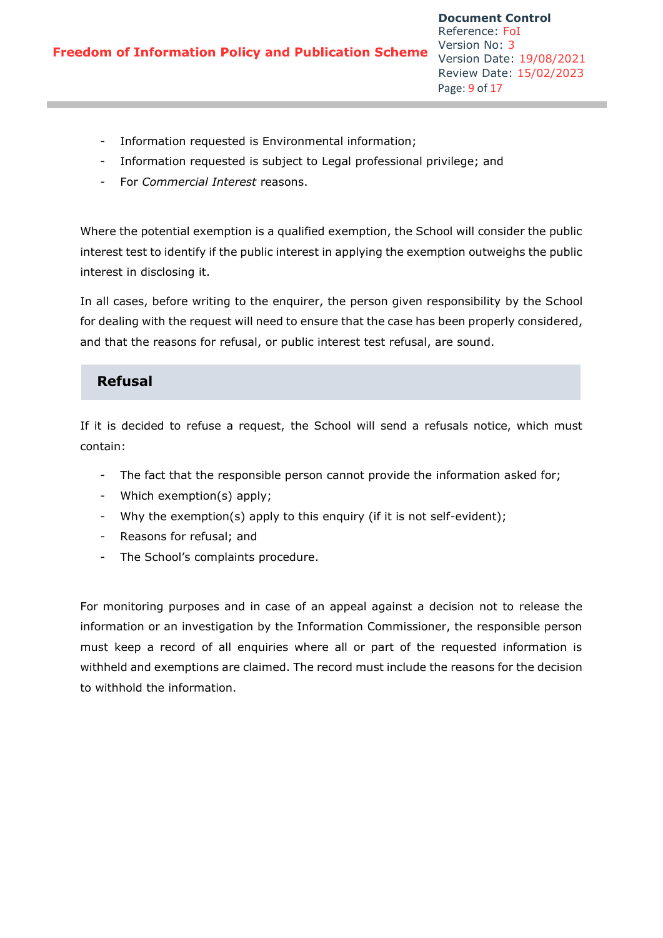- Information requested is Environmental information;
- Information requested is subject to Legal professional privilege; and
- For *Commercial Interest* reasons.

Where the potential exemption is a qualified exemption, the School will consider the public interest test to identify if the public interest in applying the exemption outweighs the public interest in disclosing it.

In all cases, before writing to the enquirer, the person given responsibility by the School for dealing with the request will need to ensure that the case has been properly considered, and that the reasons for refusal, or public interest test refusal, are sound.

### **Refusal**

If it is decided to refuse a request, the School will send a refusals notice, which must contain:

- The fact that the responsible person cannot provide the information asked for;
- Which exemption(s) apply;
- Why the exemption(s) apply to this enquiry (if it is not self-evident);
- Reasons for refusal; and
- The School's complaints procedure.

For monitoring purposes and in case of an appeal against a decision not to release the information or an investigation by the Information Commissioner, the responsible person must keep a record of all enquiries where all or part of the requested information is withheld and exemptions are claimed. The record must include the reasons for the decision to withhold the information.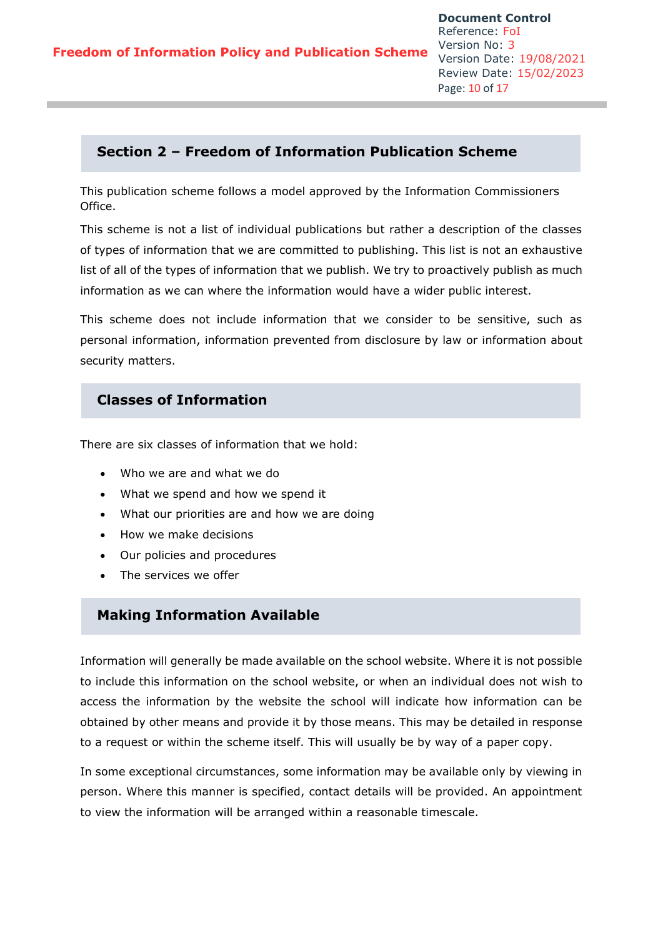# **Section 2 – Freedom of Information Publication Scheme**

This publication scheme follows a model approved by the Information Commissioners Office.

This scheme is not a list of individual publications but rather a description of the classes of types of information that we are committed to publishing. This list is not an exhaustive list of all of the types of information that we publish. We try to proactively publish as much information as we can where the information would have a wider public interest.

This scheme does not include information that we consider to be sensitive, such as personal information, information prevented from disclosure by law or information about security matters.

# **Classes of Information**

There are six classes of information that we hold:

- Who we are and what we do
- What we spend and how we spend it
- What our priorities are and how we are doing
- How we make decisions
- Our policies and procedures
- The services we offer

### **Making Information Available**

Information will generally be made available on the school website. Where it is not possible to include this information on the school website, or when an individual does not wish to access the information by the website the school will indicate how information can be obtained by other means and provide it by those means. This may be detailed in response to a request or within the scheme itself. This will usually be by way of a paper copy.

In some exceptional circumstances, some information may be available only by viewing in person. Where this manner is specified, contact details will be provided. An appointment to view the information will be arranged within a reasonable timescale.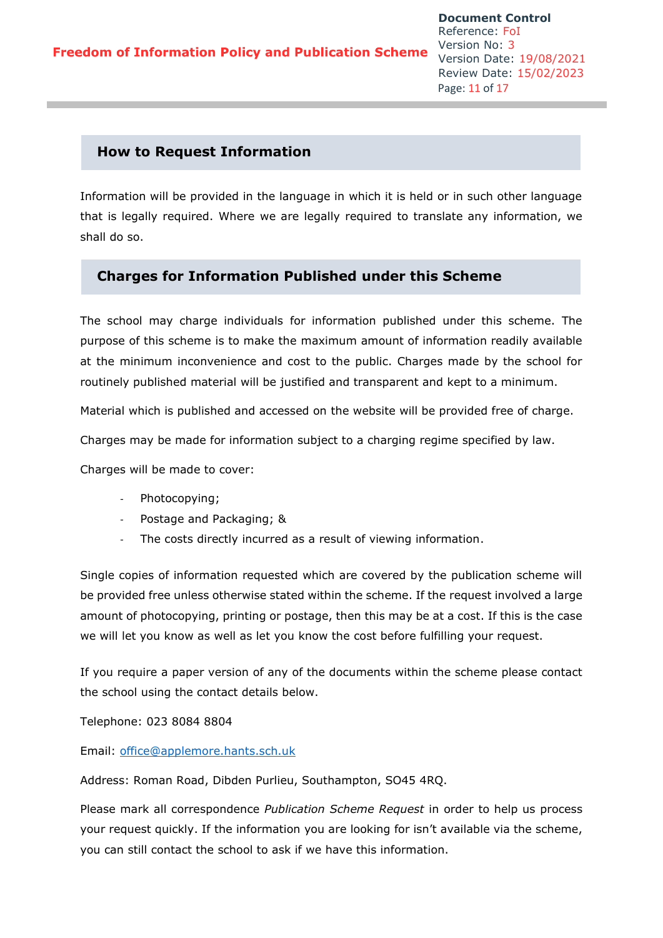### **How to Request Information**

Information will be provided in the language in which it is held or in such other language that is legally required. Where we are legally required to translate any information, we shall do so.

### **Charges for Information Published under this Scheme**

The school may charge individuals for information published under this scheme. The purpose of this scheme is to make the maximum amount of information readily available at the minimum inconvenience and cost to the public. Charges made by the school for routinely published material will be justified and transparent and kept to a minimum.

Material which is published and accessed on the website will be provided free of charge.

Charges may be made for information subject to a charging regime specified by law.

Charges will be made to cover:

- Photocopying;
- Postage and Packaging; &
- The costs directly incurred as a result of viewing information.

Single copies of information requested which are covered by the publication scheme will be provided free unless otherwise stated within the scheme. If the request involved a large amount of photocopying, printing or postage, then this may be at a cost. If this is the case we will let you know as well as let you know the cost before fulfilling your request.

If you require a paper version of any of the documents within the scheme please contact the school using the contact details below.

Telephone: 023 8084 8804

Email: [office@applemore.hants.sch.uk](mailto:office@applemore.hants.sch.uk)

Address: Roman Road, Dibden Purlieu, Southampton, SO45 4RQ.

Please mark all correspondence *Publication Scheme Request* in order to help us process your request quickly. If the information you are looking for isn't available via the scheme, you can still contact the school to ask if we have this information.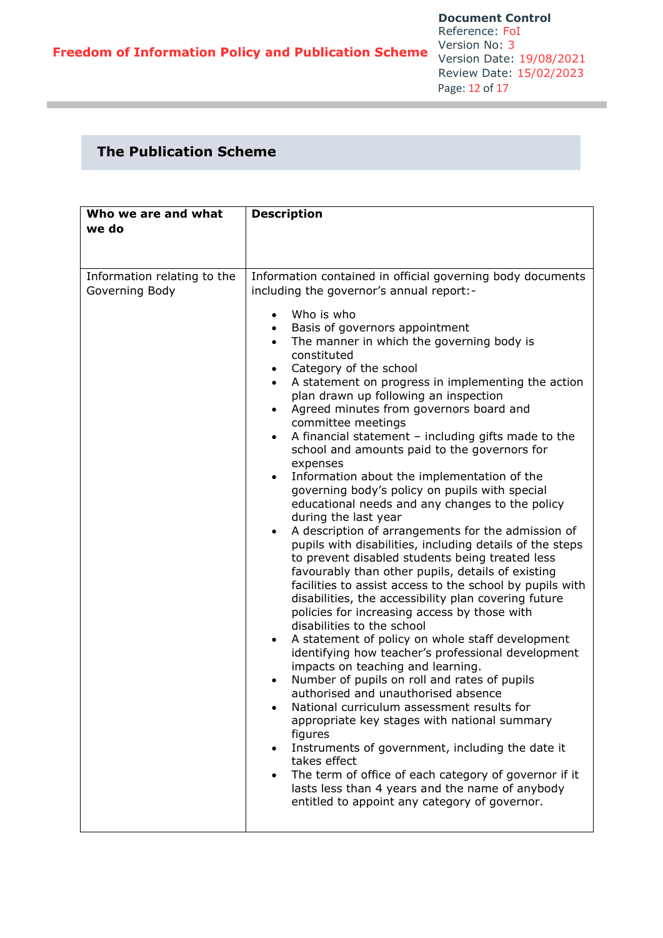# **The Publication Scheme**

| Who we are and what<br>we do                  | <b>Description</b>                                                                                                                                                                                                                                                                                                                                                                                                                                                                                                                                                                                                                                                                                                                                                                                                                                                                                                                                                                                                                                                                                                                                                                                                                                                                                                                                                                                                                                                                                                                                                                                                                                                                                                                                                                                                                                          |
|-----------------------------------------------|-------------------------------------------------------------------------------------------------------------------------------------------------------------------------------------------------------------------------------------------------------------------------------------------------------------------------------------------------------------------------------------------------------------------------------------------------------------------------------------------------------------------------------------------------------------------------------------------------------------------------------------------------------------------------------------------------------------------------------------------------------------------------------------------------------------------------------------------------------------------------------------------------------------------------------------------------------------------------------------------------------------------------------------------------------------------------------------------------------------------------------------------------------------------------------------------------------------------------------------------------------------------------------------------------------------------------------------------------------------------------------------------------------------------------------------------------------------------------------------------------------------------------------------------------------------------------------------------------------------------------------------------------------------------------------------------------------------------------------------------------------------------------------------------------------------------------------------------------------------|
| Information relating to the<br>Governing Body | Information contained in official governing body documents<br>including the governor's annual report:-<br>Who is who<br>$\bullet$<br>Basis of governors appointment<br>The manner in which the governing body is<br>$\bullet$<br>constituted<br>Category of the school<br>$\bullet$<br>A statement on progress in implementing the action<br>$\bullet$<br>plan drawn up following an inspection<br>Agreed minutes from governors board and<br>$\bullet$<br>committee meetings<br>A financial statement $-$ including gifts made to the<br>$\bullet$<br>school and amounts paid to the governors for<br>expenses<br>Information about the implementation of the<br>$\bullet$<br>governing body's policy on pupils with special<br>educational needs and any changes to the policy<br>during the last year<br>A description of arrangements for the admission of<br>$\bullet$<br>pupils with disabilities, including details of the steps<br>to prevent disabled students being treated less<br>favourably than other pupils, details of existing<br>facilities to assist access to the school by pupils with<br>disabilities, the accessibility plan covering future<br>policies for increasing access by those with<br>disabilities to the school<br>A statement of policy on whole staff development<br>identifying how teacher's professional development<br>impacts on teaching and learning.<br>Number of pupils on roll and rates of pupils<br>authorised and unauthorised absence<br>National curriculum assessment results for<br>appropriate key stages with national summary<br>figures<br>Instruments of government, including the date it<br>$\bullet$<br>takes effect<br>The term of office of each category of governor if it<br>$\bullet$<br>lasts less than 4 years and the name of anybody<br>entitled to appoint any category of governor. |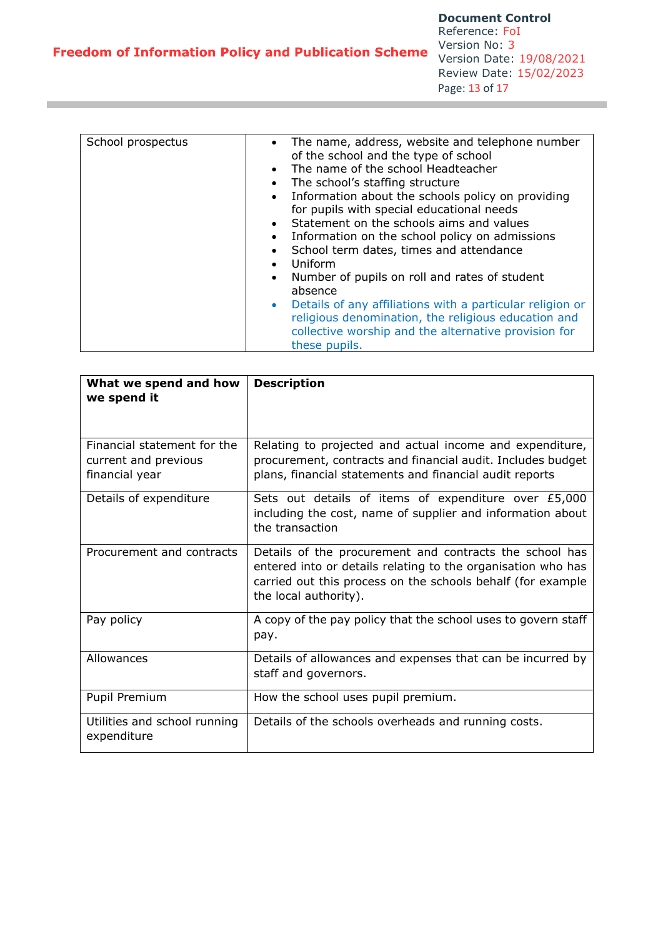| What we spend and how<br>we spend it                                  | <b>Description</b>                                                                                                                                                                                              |
|-----------------------------------------------------------------------|-----------------------------------------------------------------------------------------------------------------------------------------------------------------------------------------------------------------|
| Financial statement for the<br>current and previous<br>financial year | Relating to projected and actual income and expenditure,<br>procurement, contracts and financial audit. Includes budget<br>plans, financial statements and financial audit reports                              |
| Details of expenditure                                                | Sets out details of items of expenditure over £5,000<br>including the cost, name of supplier and information about<br>the transaction                                                                           |
| Procurement and contracts                                             | Details of the procurement and contracts the school has<br>entered into or details relating to the organisation who has<br>carried out this process on the schools behalf (for example<br>the local authority). |
| Pay policy                                                            | A copy of the pay policy that the school uses to govern staff<br>pay.                                                                                                                                           |
| Allowances                                                            | Details of allowances and expenses that can be incurred by<br>staff and governors.                                                                                                                              |
| Pupil Premium                                                         | How the school uses pupil premium.                                                                                                                                                                              |
| Utilities and school running<br>expenditure                           | Details of the schools overheads and running costs.                                                                                                                                                             |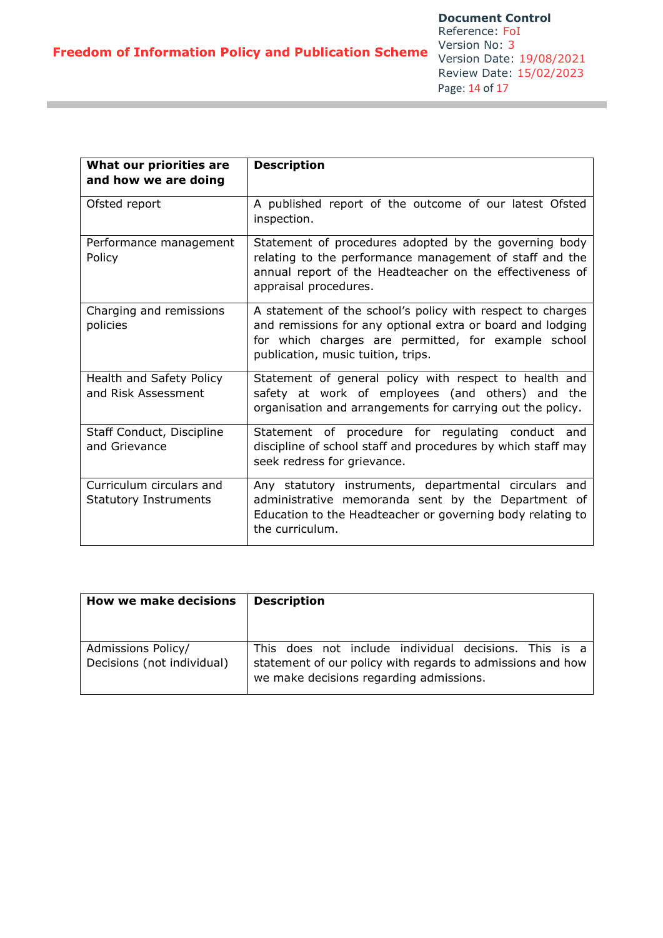| What our priorities are<br>and how we are doing          | <b>Description</b>                                                                                                                                                                                                    |
|----------------------------------------------------------|-----------------------------------------------------------------------------------------------------------------------------------------------------------------------------------------------------------------------|
| Ofsted report                                            | A published report of the outcome of our latest Ofsted<br>inspection.                                                                                                                                                 |
| Performance management<br>Policy                         | Statement of procedures adopted by the governing body<br>relating to the performance management of staff and the<br>annual report of the Headteacher on the effectiveness of<br>appraisal procedures.                 |
| Charging and remissions<br>policies                      | A statement of the school's policy with respect to charges<br>and remissions for any optional extra or board and lodging<br>for which charges are permitted, for example school<br>publication, music tuition, trips. |
| Health and Safety Policy<br>and Risk Assessment          | Statement of general policy with respect to health and<br>safety at work of employees (and others) and the<br>organisation and arrangements for carrying out the policy.                                              |
| Staff Conduct, Discipline<br>and Grievance               | Statement of procedure for regulating conduct and<br>discipline of school staff and procedures by which staff may<br>seek redress for grievance.                                                                      |
| Curriculum circulars and<br><b>Statutory Instruments</b> | Any statutory instruments, departmental circulars and<br>administrative memoranda sent by the Department of<br>Education to the Headteacher or governing body relating to<br>the curriculum.                          |

| <b>How we make decisions</b>                     | <b>Description</b>                                                                                                                                             |
|--------------------------------------------------|----------------------------------------------------------------------------------------------------------------------------------------------------------------|
| Admissions Policy/<br>Decisions (not individual) | This does not include individual decisions. This is a<br>statement of our policy with regards to admissions and how<br>we make decisions regarding admissions. |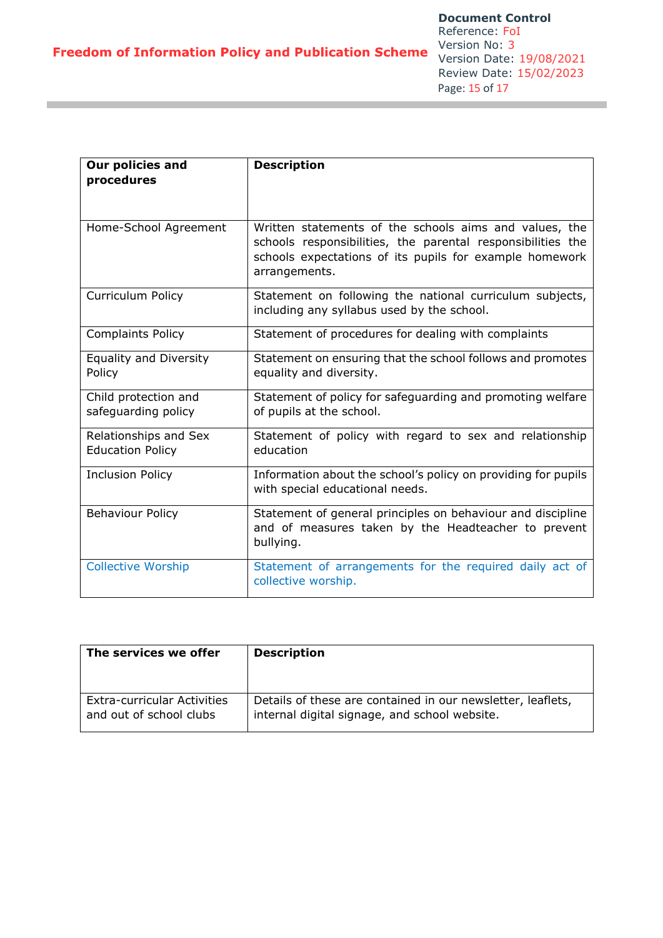| Our policies and<br>procedures                   | <b>Description</b>                                                                                                                                                                                |
|--------------------------------------------------|---------------------------------------------------------------------------------------------------------------------------------------------------------------------------------------------------|
| Home-School Agreement                            | Written statements of the schools aims and values, the<br>schools responsibilities, the parental responsibilities the<br>schools expectations of its pupils for example homework<br>arrangements. |
| Curriculum Policy                                | Statement on following the national curriculum subjects,<br>including any syllabus used by the school.                                                                                            |
| <b>Complaints Policy</b>                         | Statement of procedures for dealing with complaints                                                                                                                                               |
| <b>Equality and Diversity</b><br>Policy          | Statement on ensuring that the school follows and promotes<br>equality and diversity.                                                                                                             |
| Child protection and<br>safeguarding policy      | Statement of policy for safeguarding and promoting welfare<br>of pupils at the school.                                                                                                            |
| Relationships and Sex<br><b>Education Policy</b> | Statement of policy with regard to sex and relationship<br>education                                                                                                                              |
| <b>Inclusion Policy</b>                          | Information about the school's policy on providing for pupils<br>with special educational needs.                                                                                                  |
| <b>Behaviour Policy</b>                          | Statement of general principles on behaviour and discipline<br>and of measures taken by the Headteacher to prevent<br>bullying.                                                                   |
| <b>Collective Worship</b>                        | Statement of arrangements for the required daily act of<br>collective worship.                                                                                                                    |

| The services we offer              | <b>Description</b>                                          |
|------------------------------------|-------------------------------------------------------------|
| <b>Extra-curricular Activities</b> | Details of these are contained in our newsletter, leaflets, |
| and out of school clubs            | internal digital signage, and school website.               |